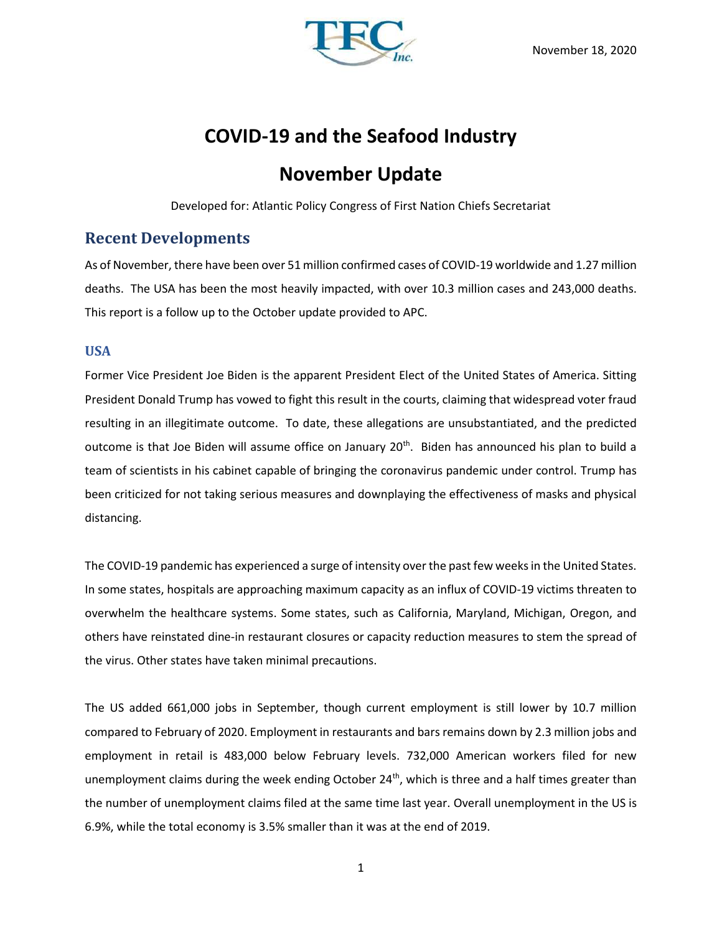

# **COVID-19 and the Seafood Industry**

# **November Update**

Developed for: Atlantic Policy Congress of First Nation Chiefs Secretariat

## **Recent Developments**

As of November, there have been over 51 million confirmed cases of COVID-19 worldwide and 1.27 million deaths. The USA has been the most heavily impacted, with over 10.3 million cases and 243,000 deaths. This report is a follow up to the October update provided to APC.

### **USA**

Former Vice President Joe Biden is the apparent President Elect of the United States of America. Sitting President Donald Trump has vowed to fight this result in the courts, claiming that widespread voter fraud resulting in an illegitimate outcome. To date, these allegations are unsubstantiated, and the predicted outcome is that Joe Biden will assume office on January 20<sup>th</sup>. Biden has announced his plan to build a team of scientists in his cabinet capable of bringing the coronavirus pandemic under control. Trump has been criticized for not taking serious measures and downplaying the effectiveness of masks and physical distancing.

The COVID-19 pandemic has experienced a surge of intensity over the past few weeks in the United States. In some states, hospitals are approaching maximum capacity as an influx of COVID-19 victims threaten to overwhelm the healthcare systems. Some states, such as California, Maryland, Michigan, Oregon, and others have reinstated dine-in restaurant closures or capacity reduction measures to stem the spread of the virus. Other states have taken minimal precautions.

The US added 661,000 jobs in September, though current employment is still lower by 10.7 million compared to February of 2020. Employment in restaurants and bars remains down by 2.3 million jobs and employment in retail is 483,000 below February levels. 732,000 American workers filed for new unemployment claims during the week ending October  $24<sup>th</sup>$ , which is three and a half times greater than the number of unemployment claims filed at the same time last year. Overall unemployment in the US is 6.9%, while the total economy is 3.5% smaller than it was at the end of 2019.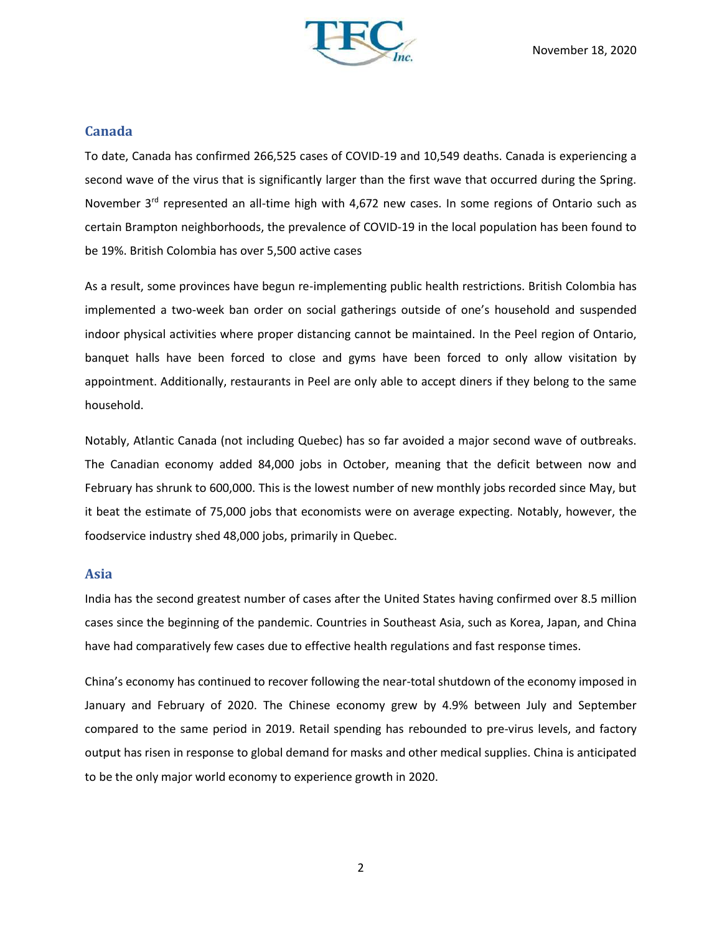

### **Canada**

To date, Canada has confirmed 266,525 cases of COVID-19 and 10,549 deaths. Canada is experiencing a second wave of the virus that is significantly larger than the first wave that occurred during the Spring. November  $3^{rd}$  represented an all-time high with 4,672 new cases. In some regions of Ontario such as certain Brampton neighborhoods, the prevalence of COVID-19 in the local population has been found to be 19%. British Colombia has over 5,500 active cases

As a result, some provinces have begun re-implementing public health restrictions. British Colombia has implemented a two-week ban order on social gatherings outside of one's household and suspended indoor physical activities where proper distancing cannot be maintained. In the Peel region of Ontario, banquet halls have been forced to close and gyms have been forced to only allow visitation by appointment. Additionally, restaurants in Peel are only able to accept diners if they belong to the same household.

Notably, Atlantic Canada (not including Quebec) has so far avoided a major second wave of outbreaks. The Canadian economy added 84,000 jobs in October, meaning that the deficit between now and February has shrunk to 600,000. This is the lowest number of new monthly jobs recorded since May, but it beat the estimate of 75,000 jobs that economists were on average expecting. Notably, however, the foodservice industry shed 48,000 jobs, primarily in Quebec.

#### **Asia**

India has the second greatest number of cases after the United States having confirmed over 8.5 million cases since the beginning of the pandemic. Countries in Southeast Asia, such as Korea, Japan, and China have had comparatively few cases due to effective health regulations and fast response times.

China's economy has continued to recover following the near-total shutdown of the economy imposed in January and February of 2020. The Chinese economy grew by 4.9% between July and September compared to the same period in 2019. Retail spending has rebounded to pre-virus levels, and factory output has risen in response to global demand for masks and other medical supplies. China is anticipated to be the only major world economy to experience growth in 2020.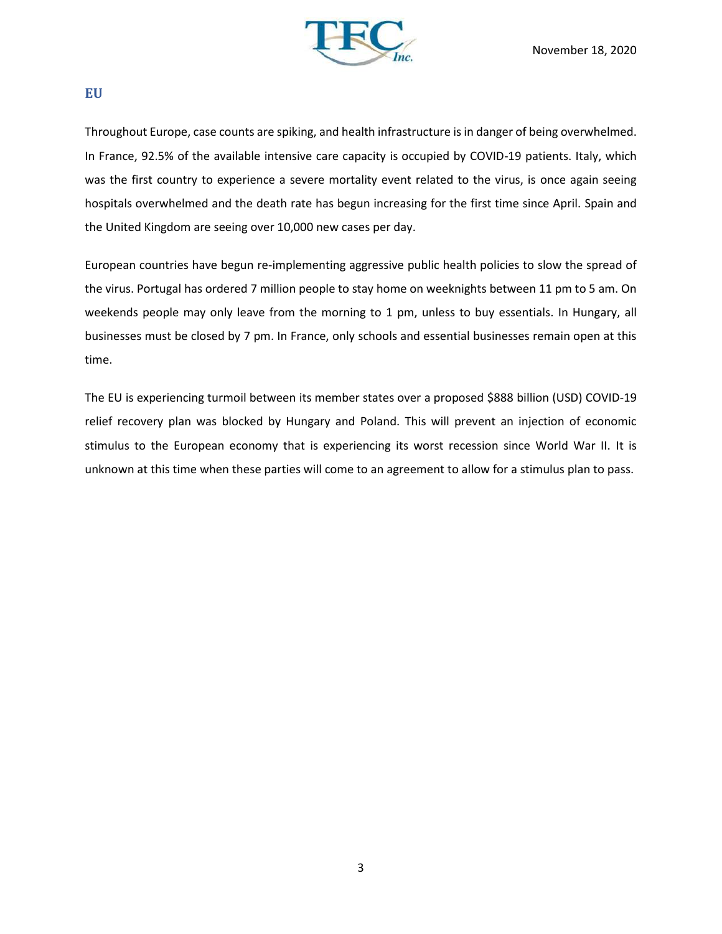

#### **EU**

Throughout Europe, case counts are spiking, and health infrastructure is in danger of being overwhelmed. In France, 92.5% of the available intensive care capacity is occupied by COVID-19 patients. Italy, which was the first country to experience a severe mortality event related to the virus, is once again seeing hospitals overwhelmed and the death rate has begun increasing for the first time since April. Spain and the United Kingdom are seeing over 10,000 new cases per day.

European countries have begun re-implementing aggressive public health policies to slow the spread of the virus. Portugal has ordered 7 million people to stay home on weeknights between 11 pm to 5 am. On weekends people may only leave from the morning to 1 pm, unless to buy essentials. In Hungary, all businesses must be closed by 7 pm. In France, only schools and essential businesses remain open at this time.

The EU is experiencing turmoil between its member states over a proposed \$888 billion (USD) COVID-19 relief recovery plan was blocked by Hungary and Poland. This will prevent an injection of economic stimulus to the European economy that is experiencing its worst recession since World War II. It is unknown at this time when these parties will come to an agreement to allow for a stimulus plan to pass.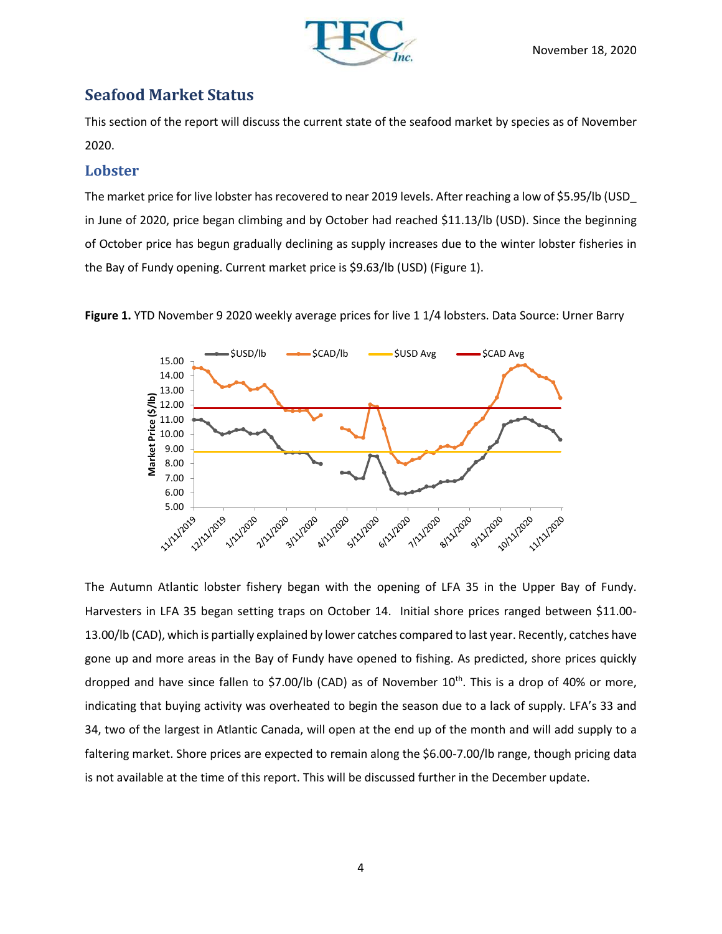

## **Seafood Market Status**

This section of the report will discuss the current state of the seafood market by species as of November 2020.

### **Lobster**

The market price for live lobster has recovered to near 2019 levels. After reaching a low of \$5.95/lb (USD\_ in June of 2020, price began climbing and by October had reached \$11.13/lb (USD). Since the beginning of October price has begun gradually declining as supply increases due to the winter lobster fisheries in the Bay of Fundy opening. Current market price is \$9.63/lb (USD) (Figure 1).





The Autumn Atlantic lobster fishery began with the opening of LFA 35 in the Upper Bay of Fundy. Harvesters in LFA 35 began setting traps on October 14. Initial shore prices ranged between \$11.00- 13.00/lb (CAD), which is partially explained by lower catches compared to last year. Recently, catches have gone up and more areas in the Bay of Fundy have opened to fishing. As predicted, shore prices quickly dropped and have since fallen to \$7.00/lb (CAD) as of November 10<sup>th</sup>. This is a drop of 40% or more, indicating that buying activity was overheated to begin the season due to a lack of supply. LFA's 33 and 34, two of the largest in Atlantic Canada, will open at the end up of the month and will add supply to a faltering market. Shore prices are expected to remain along the \$6.00-7.00/lb range, though pricing data is not available at the time of this report. This will be discussed further in the December update.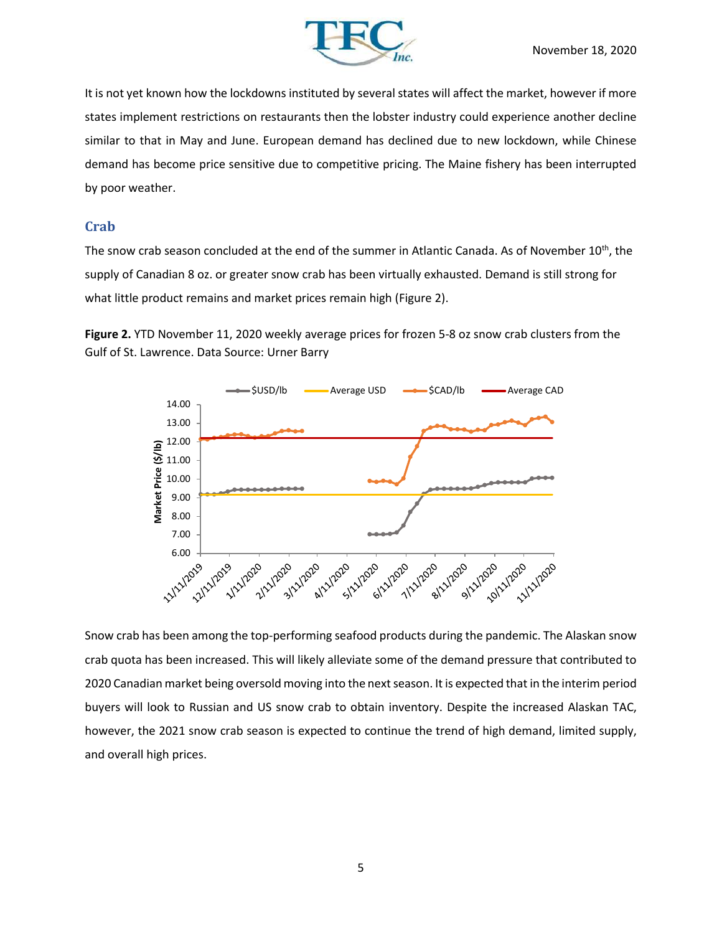

It is not yet known how the lockdowns instituted by several states will affect the market, however if more states implement restrictions on restaurants then the lobster industry could experience another decline similar to that in May and June. European demand has declined due to new lockdown, while Chinese demand has become price sensitive due to competitive pricing. The Maine fishery has been interrupted by poor weather.

### **Crab**

The snow crab season concluded at the end of the summer in Atlantic Canada. As of November 10<sup>th</sup>, the supply of Canadian 8 oz. or greater snow crab has been virtually exhausted. Demand is still strong for what little product remains and market prices remain high (Figure 2).

**Figure 2.** YTD November 11, 2020 weekly average prices for frozen 5-8 oz snow crab clusters from the Gulf of St. Lawrence. Data Source: Urner Barry



Snow crab has been among the top-performing seafood products during the pandemic. The Alaskan snow crab quota has been increased. This will likely alleviate some of the demand pressure that contributed to 2020 Canadian market being oversold moving into the next season. It is expected that in the interim period buyers will look to Russian and US snow crab to obtain inventory. Despite the increased Alaskan TAC, however, the 2021 snow crab season is expected to continue the trend of high demand, limited supply, and overall high prices.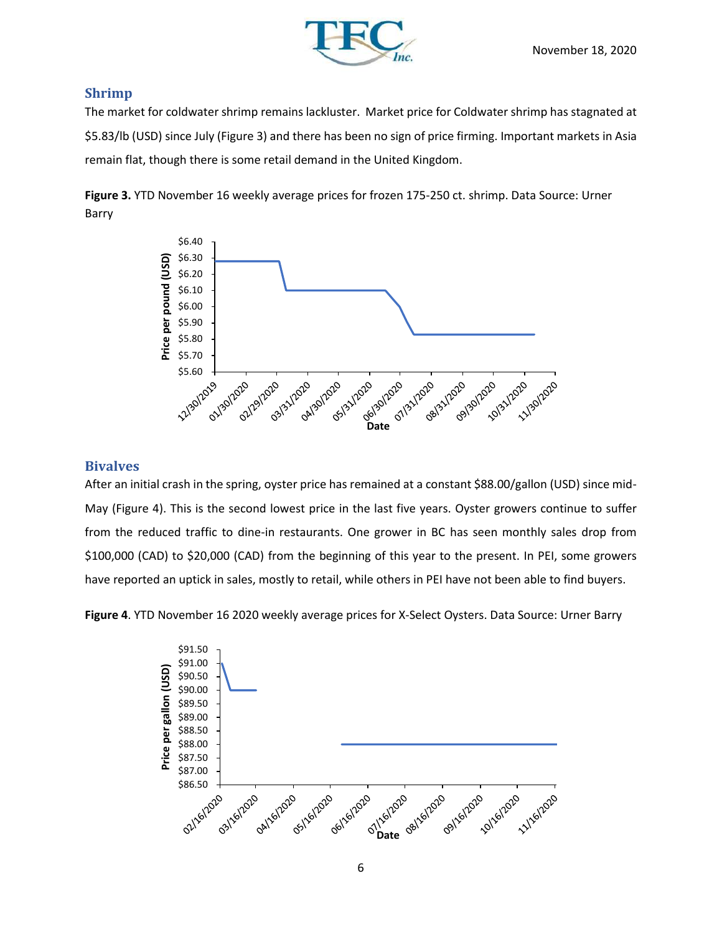

### **Shrimp**

The market for coldwater shrimp remains lackluster. Market price for Coldwater shrimp has stagnated at \$5.83/lb (USD) since July (Figure 3) and there has been no sign of price firming. Important markets in Asia remain flat, though there is some retail demand in the United Kingdom.

**Figure 3.** YTD November 16 weekly average prices for frozen 175-250 ct. shrimp. Data Source: Urner Barry



### **Bivalves**

After an initial crash in the spring, oyster price has remained at a constant \$88.00/gallon (USD) since mid-May (Figure 4). This is the second lowest price in the last five years. Oyster growers continue to suffer from the reduced traffic to dine-in restaurants. One grower in BC has seen monthly sales drop from \$100,000 (CAD) to \$20,000 (CAD) from the beginning of this year to the present. In PEI, some growers have reported an uptick in sales, mostly to retail, while others in PEI have not been able to find buyers.

**Figure 4**. YTD November 16 2020 weekly average prices for X-Select Oysters. Data Source: Urner Barry

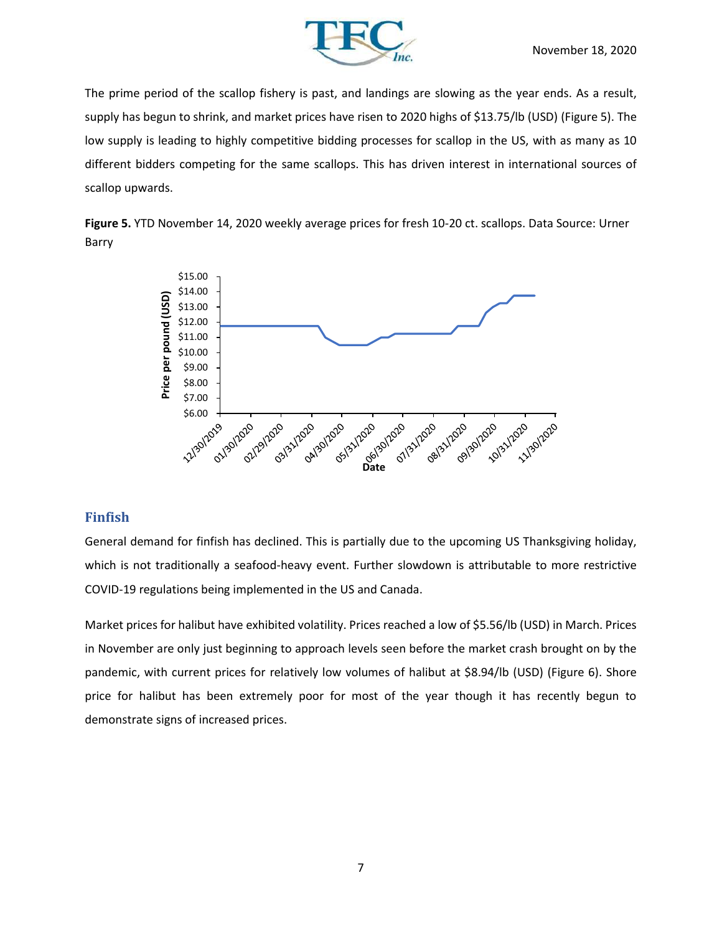![](_page_6_Picture_0.jpeg)

The prime period of the scallop fishery is past, and landings are slowing as the year ends. As a result, supply has begun to shrink, and market prices have risen to 2020 highs of \$13.75/lb (USD) (Figure 5). The low supply is leading to highly competitive bidding processes for scallop in the US, with as many as 10 different bidders competing for the same scallops. This has driven interest in international sources of scallop upwards.

![](_page_6_Figure_3.jpeg)

![](_page_6_Figure_4.jpeg)

#### **Finfish**

General demand for finfish has declined. This is partially due to the upcoming US Thanksgiving holiday, which is not traditionally a seafood-heavy event. Further slowdown is attributable to more restrictive COVID-19 regulations being implemented in the US and Canada.

Market prices for halibut have exhibited volatility. Prices reached a low of \$5.56/lb (USD) in March. Prices in November are only just beginning to approach levels seen before the market crash brought on by the pandemic, with current prices for relatively low volumes of halibut at \$8.94/lb (USD) (Figure 6). Shore price for halibut has been extremely poor for most of the year though it has recently begun to demonstrate signs of increased prices.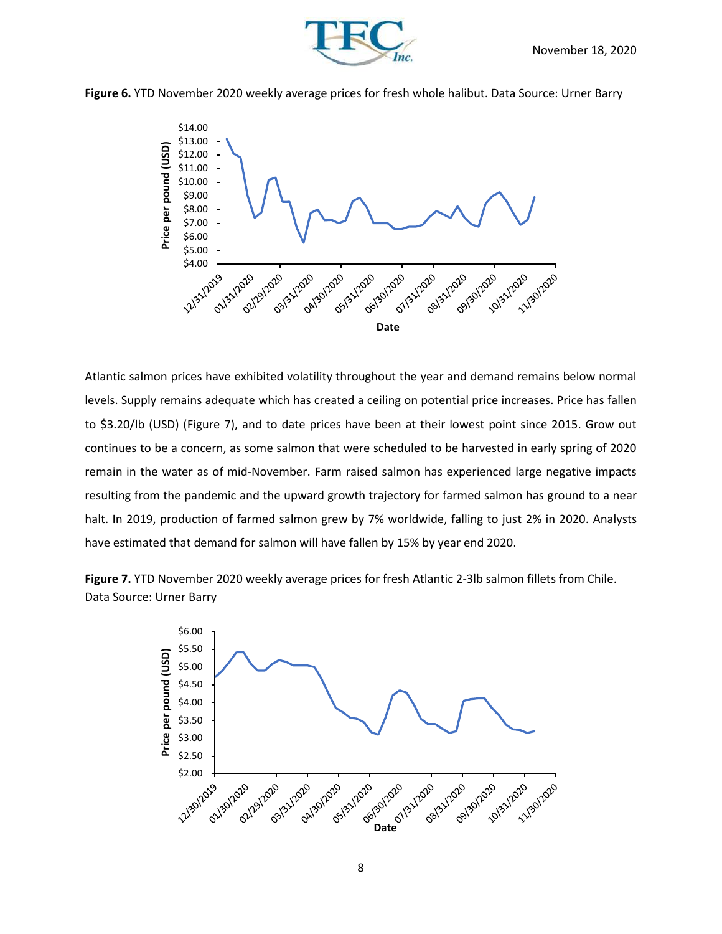![](_page_7_Picture_0.jpeg)

![](_page_7_Picture_1.jpeg)

**Figure 6.** YTD November 2020 weekly average prices for fresh whole halibut. Data Source: Urner Barry

![](_page_7_Figure_3.jpeg)

Atlantic salmon prices have exhibited volatility throughout the year and demand remains below normal levels. Supply remains adequate which has created a ceiling on potential price increases. Price has fallen to \$3.20/lb (USD) (Figure 7), and to date prices have been at their lowest point since 2015. Grow out continues to be a concern, as some salmon that were scheduled to be harvested in early spring of 2020 remain in the water as of mid-November. Farm raised salmon has experienced large negative impacts resulting from the pandemic and the upward growth trajectory for farmed salmon has ground to a near halt. In 2019, production of farmed salmon grew by 7% worldwide, falling to just 2% in 2020. Analysts have estimated that demand for salmon will have fallen by 15% by year end 2020.

**Figure 7.** YTD November 2020 weekly average prices for fresh Atlantic 2-3lb salmon fillets from Chile. Data Source: Urner Barry

![](_page_7_Figure_6.jpeg)